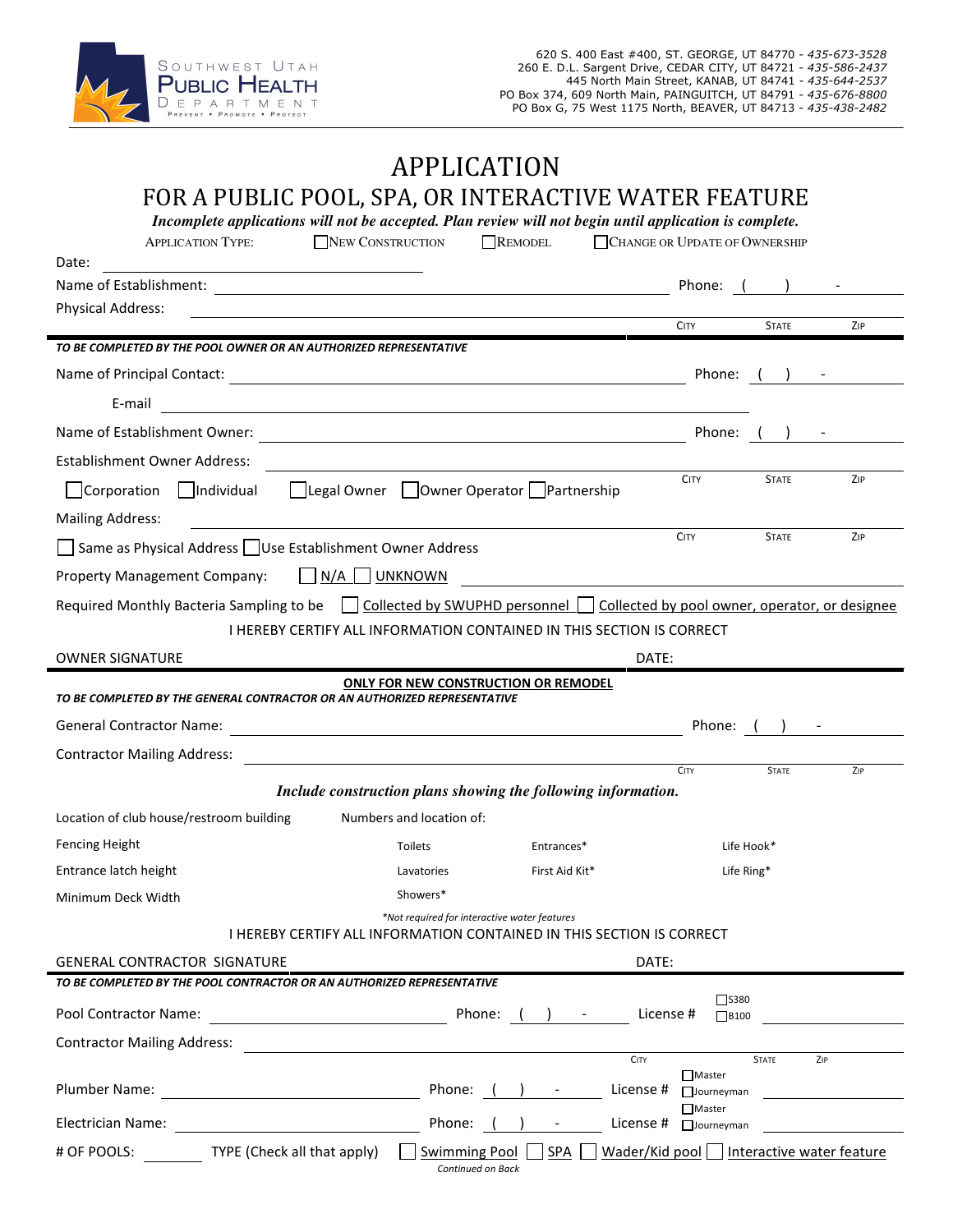

# APPLICATION FOR A PUBLIC POOL, SPA, OR INTERACTIVE WATER FEATURE

| Date:<br>Name of Establishment: \\efficient \\efficient \\efficient \\efficient \\efficient \\efficient \\efficient \\efficient \\efficient \\efficient \\efficient \\efficient \\efficient \\efficient \\efficient \\efficient \\effic<br><b>Physical Address:</b><br><u> 1980 - Andrea Barbara, poeta esperanto-poeta esperanto-poeta esperanto-poeta esperanto-poeta esperanto-poeta</u><br>TO BE COMPLETED BY THE POOL OWNER OR AN AUTHORIZED REPRESENTATIVE<br>E-mail<br>Establishment Owner Address:<br>Corporation Individual Legal Owner Owner Operator Partnership<br><b>Mailing Address:</b><br>Same as Physical Address Use Establishment Owner Address<br><b>Property Management Company:</b><br>    N/A    UNKNOWN<br>Required Monthly Bacteria Sampling to be Collected by SWUPHD personnel Collected by pool owner, operator, or designee | <b>CITY</b><br>Phone: (<br><b>CITY</b><br><b>CITY</b>                         | Phone: $($ ) -<br><b>STATE</b><br>Phone: $( )$ -<br><b>STATE</b><br><b>STATE</b> | ZIP<br>ZIP<br>ZIP |
|----------------------------------------------------------------------------------------------------------------------------------------------------------------------------------------------------------------------------------------------------------------------------------------------------------------------------------------------------------------------------------------------------------------------------------------------------------------------------------------------------------------------------------------------------------------------------------------------------------------------------------------------------------------------------------------------------------------------------------------------------------------------------------------------------------------------------------------------------------|-------------------------------------------------------------------------------|----------------------------------------------------------------------------------|-------------------|
|                                                                                                                                                                                                                                                                                                                                                                                                                                                                                                                                                                                                                                                                                                                                                                                                                                                          |                                                                               |                                                                                  |                   |
|                                                                                                                                                                                                                                                                                                                                                                                                                                                                                                                                                                                                                                                                                                                                                                                                                                                          |                                                                               |                                                                                  |                   |
|                                                                                                                                                                                                                                                                                                                                                                                                                                                                                                                                                                                                                                                                                                                                                                                                                                                          |                                                                               |                                                                                  |                   |
|                                                                                                                                                                                                                                                                                                                                                                                                                                                                                                                                                                                                                                                                                                                                                                                                                                                          |                                                                               |                                                                                  |                   |
|                                                                                                                                                                                                                                                                                                                                                                                                                                                                                                                                                                                                                                                                                                                                                                                                                                                          |                                                                               |                                                                                  |                   |
|                                                                                                                                                                                                                                                                                                                                                                                                                                                                                                                                                                                                                                                                                                                                                                                                                                                          |                                                                               |                                                                                  |                   |
|                                                                                                                                                                                                                                                                                                                                                                                                                                                                                                                                                                                                                                                                                                                                                                                                                                                          |                                                                               |                                                                                  |                   |
|                                                                                                                                                                                                                                                                                                                                                                                                                                                                                                                                                                                                                                                                                                                                                                                                                                                          |                                                                               |                                                                                  |                   |
|                                                                                                                                                                                                                                                                                                                                                                                                                                                                                                                                                                                                                                                                                                                                                                                                                                                          |                                                                               |                                                                                  |                   |
|                                                                                                                                                                                                                                                                                                                                                                                                                                                                                                                                                                                                                                                                                                                                                                                                                                                          |                                                                               |                                                                                  |                   |
|                                                                                                                                                                                                                                                                                                                                                                                                                                                                                                                                                                                                                                                                                                                                                                                                                                                          |                                                                               |                                                                                  |                   |
|                                                                                                                                                                                                                                                                                                                                                                                                                                                                                                                                                                                                                                                                                                                                                                                                                                                          |                                                                               |                                                                                  |                   |
|                                                                                                                                                                                                                                                                                                                                                                                                                                                                                                                                                                                                                                                                                                                                                                                                                                                          |                                                                               |                                                                                  |                   |
| I HEREBY CERTIFY ALL INFORMATION CONTAINED IN THIS SECTION IS CORRECT                                                                                                                                                                                                                                                                                                                                                                                                                                                                                                                                                                                                                                                                                                                                                                                    |                                                                               |                                                                                  |                   |
| OWNER SIGNATURE                                                                                                                                                                                                                                                                                                                                                                                                                                                                                                                                                                                                                                                                                                                                                                                                                                          | DATE:                                                                         |                                                                                  |                   |
| <b>ONLY FOR NEW CONSTRUCTION OR REMODEL</b>                                                                                                                                                                                                                                                                                                                                                                                                                                                                                                                                                                                                                                                                                                                                                                                                              |                                                                               |                                                                                  |                   |
| TO BE COMPLETED BY THE GENERAL CONTRACTOR OR AN AUTHORIZED REPRESENTATIVE                                                                                                                                                                                                                                                                                                                                                                                                                                                                                                                                                                                                                                                                                                                                                                                |                                                                               |                                                                                  |                   |
|                                                                                                                                                                                                                                                                                                                                                                                                                                                                                                                                                                                                                                                                                                                                                                                                                                                          | Phone: ()                                                                     |                                                                                  |                   |
| <b>Contractor Mailing Address:</b><br><u> 1980 - Andrea Station, amerikansk politik (d. 1980)</u>                                                                                                                                                                                                                                                                                                                                                                                                                                                                                                                                                                                                                                                                                                                                                        | <b>CITY</b>                                                                   | <b>STATE</b>                                                                     | ZIP               |
| Include construction plans showing the following information.                                                                                                                                                                                                                                                                                                                                                                                                                                                                                                                                                                                                                                                                                                                                                                                            |                                                                               |                                                                                  |                   |
| Location of club house/restroom building<br>Numbers and location of:                                                                                                                                                                                                                                                                                                                                                                                                                                                                                                                                                                                                                                                                                                                                                                                     |                                                                               |                                                                                  |                   |
| Fencing Height<br>Entrances*<br>Toilets                                                                                                                                                                                                                                                                                                                                                                                                                                                                                                                                                                                                                                                                                                                                                                                                                  |                                                                               | Life Hook*                                                                       |                   |
| Entrance latch height<br>First Aid Kit*<br>Lavatories                                                                                                                                                                                                                                                                                                                                                                                                                                                                                                                                                                                                                                                                                                                                                                                                    |                                                                               | Life Ring*                                                                       |                   |
| Showers*<br>Minimum Deck Width                                                                                                                                                                                                                                                                                                                                                                                                                                                                                                                                                                                                                                                                                                                                                                                                                           |                                                                               |                                                                                  |                   |
| *Not required for interactive water features<br><b>I HEREBY CERTIFY ALL INFORMATION CONTAINED IN THIS SECTION IS CORRECT</b>                                                                                                                                                                                                                                                                                                                                                                                                                                                                                                                                                                                                                                                                                                                             |                                                                               |                                                                                  |                   |
| GENERAL CONTRACTOR SIGNATURE                                                                                                                                                                                                                                                                                                                                                                                                                                                                                                                                                                                                                                                                                                                                                                                                                             | DATE:                                                                         |                                                                                  |                   |
| TO BE COMPLETED BY THE POOL CONTRACTOR OR AN AUTHORIZED REPRESENTATIVE                                                                                                                                                                                                                                                                                                                                                                                                                                                                                                                                                                                                                                                                                                                                                                                   |                                                                               |                                                                                  |                   |
| Pool Contractor Name:<br>Phone:<br>$\left( \begin{array}{ccc} 1 & 1 & 1 \\ 1 & 1 & 1 \end{array} \right)$                                                                                                                                                                                                                                                                                                                                                                                                                                                                                                                                                                                                                                                                                                                                                | $\square$ S380<br>License #<br>$\Box$ B100                                    |                                                                                  |                   |
| <b>Contractor Mailing Address:</b>                                                                                                                                                                                                                                                                                                                                                                                                                                                                                                                                                                                                                                                                                                                                                                                                                       |                                                                               |                                                                                  |                   |
| Plumber Name:<br>Phone: (                                                                                                                                                                                                                                                                                                                                                                                                                                                                                                                                                                                                                                                                                                                                                                                                                                | CITY<br><b>■</b> Master<br>License #<br>$\Box$ Journeyman                     | <b>STATE</b>                                                                     | ZIP               |
| Electrician Name: Electrician Name:                                                                                                                                                                                                                                                                                                                                                                                                                                                                                                                                                                                                                                                                                                                                                                                                                      | $\Box$ Master                                                                 |                                                                                  |                   |
| Phone:<br>SPA<br># OF POOLS: TYPE (Check all that apply)<br><b>Swimming Pool</b>                                                                                                                                                                                                                                                                                                                                                                                                                                                                                                                                                                                                                                                                                                                                                                         | License $#$ $\Box$ Journeyman<br>Wader/Kid pool     Interactive water feature |                                                                                  |                   |